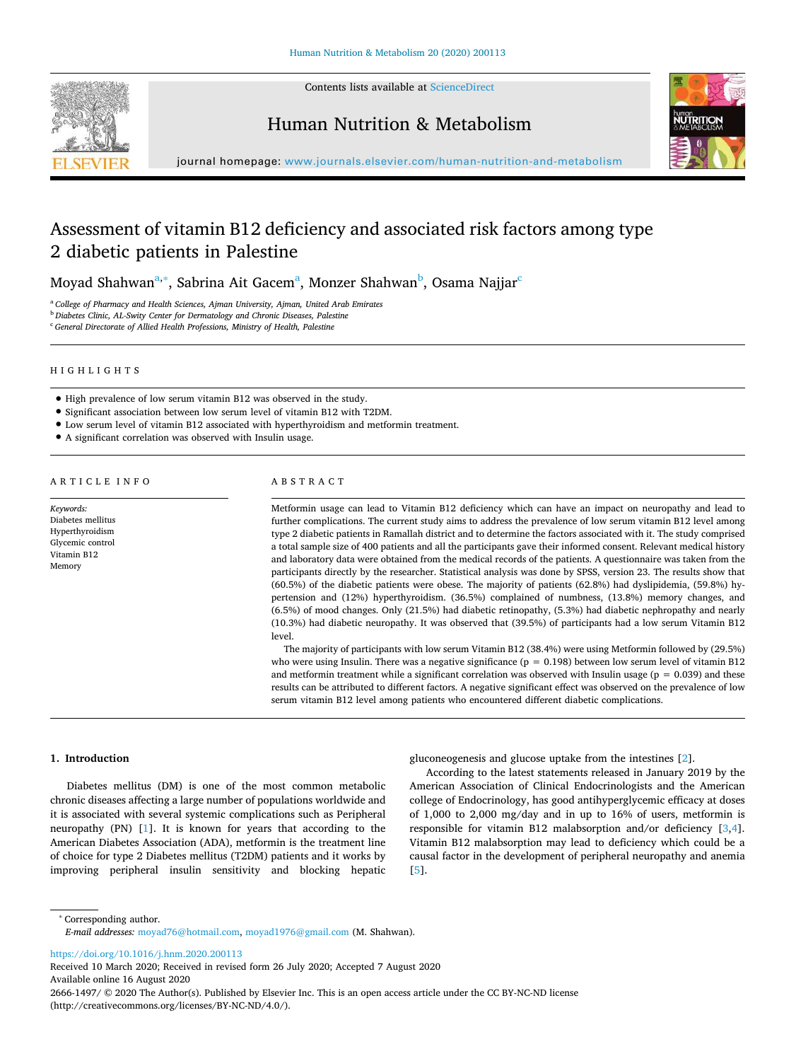

Contents lists available at [ScienceDirect](http://www.sciencedirect.com/science/journal/26661497)

Human Nutrition & Metabolism



journal homepage: [www.journals.elsevier.com/human-nutrition-and-metabolism](https://www.journals.elsevier.com/human-nutrition-and-metabolism)

# Assessment of vitamin B12 deficiency and associated risk factors among type 2 diabetic patients in Palestine

Moyad Shahwan<sup>[a,](#page-0-0)</sup>\*, S[a](#page-0-0)[b](#page-0-2)rina Ait Ga[c](#page-0-3)em<sup>a</sup>, Monzer Shahwan<sup>b</sup>, Osama Najjar<sup>c</sup>

<span id="page-0-2"></span><span id="page-0-0"></span><sup>a</sup> *College of Pharmacy and Health Sciences, Ajman University, Ajman, United Arab Emirates* <sup>b</sup> *Diabetes Clinic, AL-Swity Center for Dermatology and Chronic Diseases, Palestine*

<span id="page-0-3"></span><sup>c</sup> *General Directorate of Allied Health Professions, Ministry of Health, Palestine*

#### HIGHLIGHTS

- High prevalence of low serum vitamin B12 was observed in the study.
- Significant association between low serum level of vitamin B12 with T2DM.
- Low serum level of vitamin B12 associated with hyperthyroidism and metformin treatment.
- A significant correlation was observed with Insulin usage.

# ARTICLE INFO

*Keywords:* Diabetes mellitus Hyperthyroidism Glycemic control Vitamin B12 Memory

# ABSTRACT

Metformin usage can lead to Vitamin B12 deficiency which can have an impact on neuropathy and lead to further complications. The current study aims to address the prevalence of low serum vitamin B12 level among type 2 diabetic patients in Ramallah district and to determine the factors associated with it. The study comprised a total sample size of 400 patients and all the participants gave their informed consent. Relevant medical history and laboratory data were obtained from the medical records of the patients. A questionnaire was taken from the participants directly by the researcher. Statistical analysis was done by SPSS, version 23. The results show that (60.5%) of the diabetic patients were obese. The majority of patients (62.8%) had dyslipidemia, (59.8%) hypertension and (12%) hyperthyroidism. (36.5%) complained of numbness, (13.8%) memory changes, and (6.5%) of mood changes. Only (21.5%) had diabetic retinopathy, (5.3%) had diabetic nephropathy and nearly (10.3%) had diabetic neuropathy. It was observed that (39.5%) of participants had a low serum Vitamin B12 level.

The majority of participants with low serum Vitamin B12 (38.4%) were using Metformin followed by (29.5%) who were using Insulin. There was a negative significance ( $p = 0.198$ ) between low serum level of vitamin B12 and metformin treatment while a significant correlation was observed with Insulin usage ( $p = 0.039$ ) and these results can be attributed to different factors. A negative significant effect was observed on the prevalence of low serum vitamin B12 level among patients who encountered different diabetic complications.

#### **1. Introduction**

Diabetes mellitus (DM) is one of the most common metabolic chronic diseases affecting a large number of populations worldwide and it is associated with several systemic complications such as Peripheral neuropathy (PN) [\[1](#page-4-0)]. It is known for years that according to the American Diabetes Association (ADA), metformin is the treatment line of choice for type 2 Diabetes mellitus (T2DM) patients and it works by improving peripheral insulin sensitivity and blocking hepatic gluconeogenesis and glucose uptake from the intestines [\[2\]](#page-4-1).

According to the latest statements released in January 2019 by the American Association of Clinical Endocrinologists and the American college of Endocrinology, has good antihyperglycemic efficacy at doses of 1,000 to 2,000 mg/day and in up to 16% of users, metformin is responsible for vitamin B12 malabsorption and/or deficiency[[3](#page-4-2),[4](#page-4-3)]. Vitamin B12 malabsorption may lead to deficiency which could be a causal factor in the development of peripheral neuropathy and anemia [[5](#page-4-4)].

<span id="page-0-1"></span>∗ Corresponding author.

*E-mail addresses:* [moyad76@hotmail.com](mailto:moyad76@hotmail.com), [moyad1976@gmail.com](mailto:moyad1976@gmail.com) (M. Shahwan).

<https://doi.org/10.1016/j.hnm.2020.200113>

Received 10 March 2020; Received in revised form 26 July 2020; Accepted 7 August 2020 Available online 16 August 2020

2666-1497/ © 2020 The Author(s). Published by Elsevier Inc. This is an open access article under the CC BY-NC-ND license (http://creativecommons.org/licenses/BY-NC-ND/4.0/).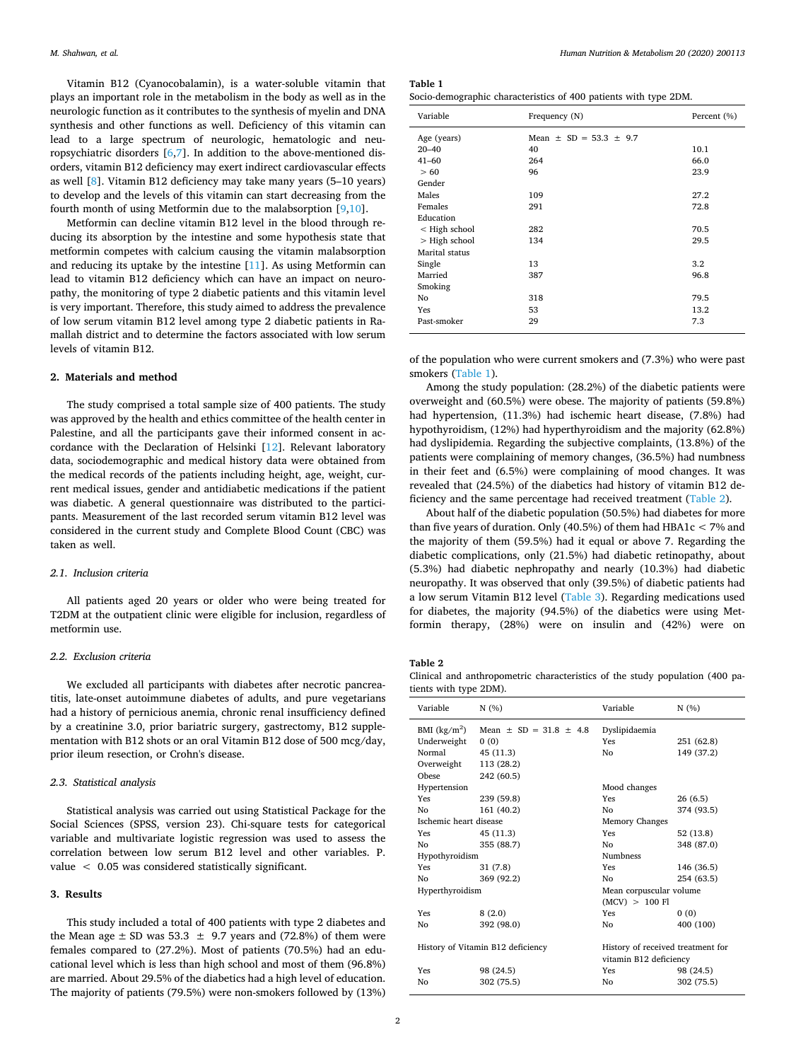Vitamin B12 (Cyanocobalamin), is a water-soluble vitamin that plays an important role in the metabolism in the body as well as in the neurologic function as it contributes to the synthesis of myelin and DNA synthesis and other functions as well. Deficiency of this vitamin can lead to a large spectrum of neurologic, hematologic and neuropsychiatric disorders [\[6,](#page-4-5)[7](#page-4-6)]. In addition to the above-mentioned disorders, vitamin B12 deficiency may exert indirect cardiovascular effects as well [\[8\]](#page-4-7). Vitamin B12 deficiency may take many years (5–10 years) to develop and the levels of this vitamin can start decreasing from the fourth month of using Metformin due to the malabsorption[[9](#page-4-8)[,10](#page-4-9)].

Metformin can decline vitamin B12 level in the blood through reducing its absorption by the intestine and some hypothesis state that metformin competes with calcium causing the vitamin malabsorption and reducing its uptake by the intestine [\[11](#page-4-10)]. As using Metformin can lead to vitamin B12 deficiency which can have an impact on neuropathy, the monitoring of type 2 diabetic patients and this vitamin level is very important. Therefore, this study aimed to address the prevalence of low serum vitamin B12 level among type 2 diabetic patients in Ramallah district and to determine the factors associated with low serum levels of vitamin B12.

# **2. Materials and method**

The study comprised a total sample size of 400 patients. The study was approved by the health and ethics committee of the health center in Palestine, and all the participants gave their informed consent in accordance with the Declaration of Helsinki [\[12\]](#page-4-11). Relevant laboratory data, sociodemographic and medical history data were obtained from the medical records of the patients including height, age, weight, current medical issues, gender and antidiabetic medications if the patient was diabetic. A general questionnaire was distributed to the participants. Measurement of the last recorded serum vitamin B12 level was considered in the current study and Complete Blood Count (CBC) was taken as well.

# *2.1. Inclusion criteria*

All patients aged 20 years or older who were being treated for T2DM at the outpatient clinic were eligible for inclusion, regardless of metformin use.

#### *2.2. Exclusion criteria*

We excluded all participants with diabetes after necrotic pancreatitis, late-onset autoimmune diabetes of adults, and pure vegetarians had a history of pernicious anemia, chronic renal insufficiency defined by a creatinine 3.0, prior bariatric surgery, gastrectomy, B12 supplementation with B12 shots or an oral Vitamin B12 dose of 500 mcg/day, prior ileum resection, or Crohn's disease.

# *2.3. Statistical analysis*

Statistical analysis was carried out using Statistical Package for the Social Sciences (SPSS, version 23). Chi-square tests for categorical variable and multivariate logistic regression was used to assess the correlation between low serum B12 level and other variables. P. value < 0.05 was considered statistically significant.

# **3. Results**

This study included a total of 400 patients with type 2 diabetes and the Mean age  $\pm$  SD was 53.3  $\pm$  9.7 years and (72.8%) of them were females compared to (27.2%). Most of patients (70.5%) had an educational level which is less than high school and most of them (96.8%) are married. About 29.5% of the diabetics had a high level of education. The majority of patients (79.5%) were non-smokers followed by (13%)

<span id="page-1-0"></span>**Table 1**

| Socio-demographic characteristics of 400 patients with type 2DM. |  |  |  |
|------------------------------------------------------------------|--|--|--|
|------------------------------------------------------------------|--|--|--|

| Variable       | Frequency (N)                  | Percent (%) |
|----------------|--------------------------------|-------------|
| Age (years)    | Mean $\pm$ SD = 53.3 $\pm$ 9.7 |             |
| $20 - 40$      | 40                             | 10.1        |
| $41 - 60$      | 264                            | 66.0        |
| > 60           | 96                             | 23.9        |
| Gender         |                                |             |
| Males          | 109                            | 27.2        |
| Females        | 291                            | 72.8        |
| Education      |                                |             |
| < High school  | 282                            | 70.5        |
| > High school  | 134                            | 29.5        |
| Marital status |                                |             |
| Single         | 13                             | 3.2         |
| Married        | 387                            | 96.8        |
| Smoking        |                                |             |
| No             | 318                            | 79.5        |
| Yes            | 53                             | 13.2        |
| Past-smoker    | 29                             | 7.3         |

of the population who were current smokers and (7.3%) who were past smokers([Table 1\)](#page-1-0).

Among the study population: (28.2%) of the diabetic patients were overweight and (60.5%) were obese. The majority of patients (59.8%) had hypertension, (11.3%) had ischemic heart disease, (7.8%) had hypothyroidism, (12%) had hyperthyroidism and the majority (62.8%) had dyslipidemia. Regarding the subjective complaints, (13.8%) of the patients were complaining of memory changes, (36.5%) had numbness in their feet and (6.5%) were complaining of mood changes. It was revealed that (24.5%) of the diabetics had history of vitamin B12 deficiency and the same percentage had received treatment [\(Table 2\)](#page-1-1).

About half of the diabetic population (50.5%) had diabetes for more than five years of duration. Only (40.5%) of them had HBA1 $c < 7\%$  and the majority of them (59.5%) had it equal or above 7. Regarding the diabetic complications, only (21.5%) had diabetic retinopathy, about (5.3%) had diabetic nephropathy and nearly (10.3%) had diabetic neuropathy. It was observed that only (39.5%) of diabetic patients had a low serum Vitamin B12 level([Table 3\)](#page-2-0). Regarding medications used for diabetes, the majority (94.5%) of the diabetics were using Metformin therapy, (28%) were on insulin and (42%) were on

# <span id="page-1-1"></span>**Table 2**

Clinical and anthropometric characteristics of the study population (400 patients with type 2DM).

| Variable               | N(%                               | Variable                                                    | N(%)       |
|------------------------|-----------------------------------|-------------------------------------------------------------|------------|
| BMI $(kg/m2)$          | Mean $\pm$ SD = 31.8 $\pm$ 4.8    | Dyslipidaemia                                               |            |
| Underweight            | (0)                               | Yes                                                         | 251 (62.8) |
| Normal                 | 45 (11.3)                         | N <sub>0</sub>                                              | 149 (37.2) |
| Overweight             | 113 (28.2)                        |                                                             |            |
| Obese                  | 242 (60.5)                        |                                                             |            |
| Hypertension           |                                   | Mood changes                                                |            |
| Yes                    | 239 (59.8)                        | Yes                                                         | 26(6.5)    |
| No                     | 161 (40.2)                        | N <sub>0</sub>                                              | 374 (93.5) |
| Ischemic heart disease |                                   | Memory Changes                                              |            |
| <b>Yes</b>             | 45 (11.3)                         | Yes                                                         | 52 (13.8)  |
| No                     | 355 (88.7)                        | N <sub>0</sub>                                              | 348 (87.0) |
| Hypothyroidism         |                                   | <b>Numbness</b>                                             |            |
| Yes                    | 31(7.8)                           | Yes                                                         | 146 (36.5) |
| No.                    | 369 (92.2)                        | No.                                                         | 254 (63.5) |
| Hyperthyroidism        |                                   | Mean corpuscular volume                                     |            |
|                        |                                   | (MCV) > 100 Fl                                              |            |
| Yes                    | 8(2.0)                            | Yes                                                         | 0(0)       |
| No                     | 392 (98.0)                        | No                                                          | 400 (100)  |
|                        | History of Vitamin B12 deficiency | History of received treatment for<br>vitamin B12 deficiency |            |
| Yes                    | 98 (24.5)                         | Yes                                                         | 98 (24.5)  |
| Nο                     | 302 (75.5)                        | N <sub>0</sub>                                              | 302 (75.5) |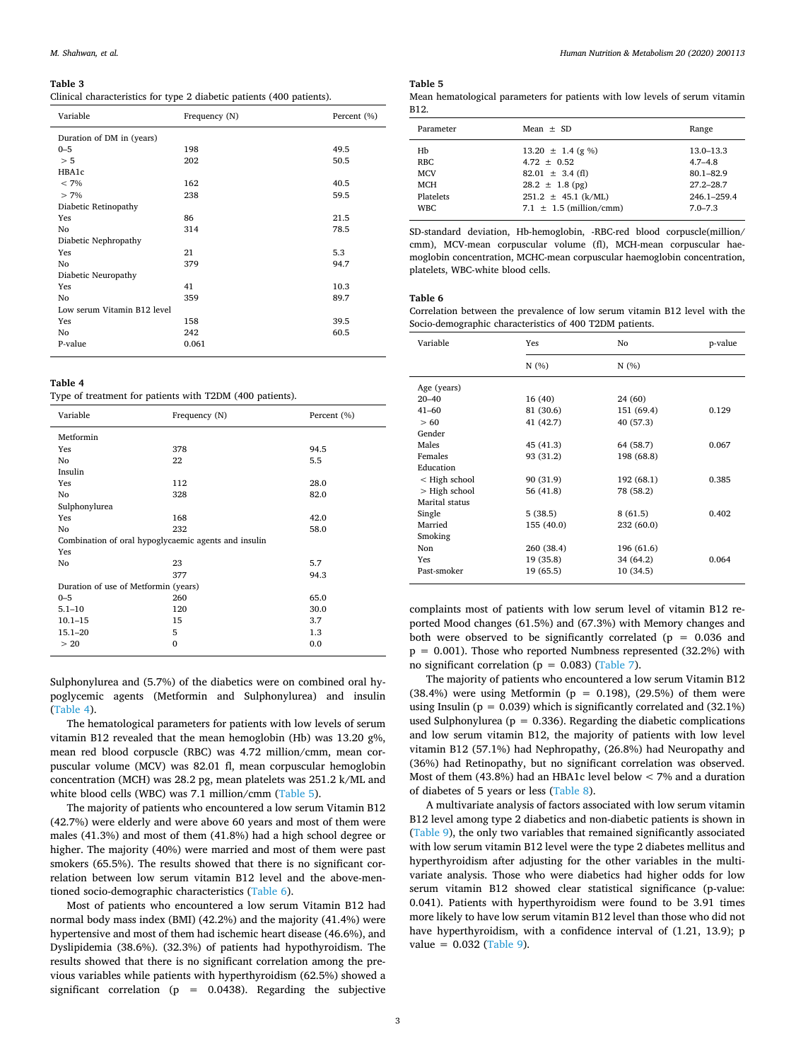#### <span id="page-2-0"></span>**Table 3**

Clinical characteristics for type 2 diabetic patients (400 patients).

| Variable                    | Frequency (N) | Percent (%) |  |
|-----------------------------|---------------|-------------|--|
| Duration of DM in (years)   |               |             |  |
| $0 - 5$                     | 198           | 49.5        |  |
| > 5                         | 202           | 50.5        |  |
| HBA1c                       |               |             |  |
| $< 7\%$                     | 162           | 40.5        |  |
| $> 7\%$                     | 238           | 59.5        |  |
| Diabetic Retinopathy        |               |             |  |
| Yes                         | 86            | 21.5        |  |
| No                          | 314           | 78.5        |  |
| Diabetic Nephropathy        |               |             |  |
| Yes                         | 21            | 5.3         |  |
| No                          | 379           | 94.7        |  |
| Diabetic Neuropathy         |               |             |  |
| Yes                         | 41            | 10.3        |  |
| No                          | 359           | 89.7        |  |
| Low serum Vitamin B12 level |               |             |  |
| Yes                         | 158           | 39.5        |  |
| No                          | 242           | 60.5        |  |
| P-value                     | 0.061         |             |  |
|                             |               |             |  |

<span id="page-2-1"></span>**Table 4**

Type of treatment for patients with T2DM (400 patients).

| Variable                                             | Frequency (N) | Percent (%) |  |  |
|------------------------------------------------------|---------------|-------------|--|--|
| Metformin                                            |               |             |  |  |
| Yes                                                  | 378           | 94.5        |  |  |
| No                                                   | 22            | 5.5         |  |  |
| Insulin                                              |               |             |  |  |
| Yes                                                  | 112           | 28.0        |  |  |
| No                                                   | 328           | 82.0        |  |  |
| Sulphonylurea                                        |               |             |  |  |
| Yes                                                  | 168           | 42.0        |  |  |
| No                                                   | 232           | 58.0        |  |  |
| Combination of oral hypoglycaemic agents and insulin |               |             |  |  |
| Yes                                                  |               |             |  |  |
| No                                                   | 23            | 5.7         |  |  |
|                                                      | 377           | 94.3        |  |  |
| Duration of use of Metformin (years)                 |               |             |  |  |
| $0 - 5$                                              | 260           | 65.0        |  |  |
| $5.1 - 10$                                           | 120           | 30.0        |  |  |
| $10.1 - 15$                                          | 15            | 3.7         |  |  |
| $15.1 - 20$                                          | 5             | 1.3         |  |  |
| >20                                                  | 0             | 0.0         |  |  |

Sulphonylurea and (5.7%) of the diabetics were on combined oral hypoglycemic agents (Metformin and Sulphonylurea) and insulin ([Table 4](#page-2-1)).

The hematological parameters for patients with low levels of serum vitamin B12 revealed that the mean hemoglobin (Hb) was 13.20 g%, mean red blood corpuscle (RBC) was 4.72 million/cmm, mean corpuscular volume (MCV) was 82.01 fl, mean corpuscular hemoglobin concentration (MCH) was 28.2 pg, mean platelets was 251.2 k/ML and whiteblood cells (WBC) was 7.1 million/cmm ([Table 5\)](#page-2-2).

The majority of patients who encountered a low serum Vitamin B12 (42.7%) were elderly and were above 60 years and most of them were males (41.3%) and most of them (41.8%) had a high school degree or higher. The majority (40%) were married and most of them were past smokers (65.5%). The results showed that there is no significant correlation between low serum vitamin B12 level and the above-mentioned socio-demographic characteristics [\(Table 6\)](#page-2-3).

Most of patients who encountered a low serum Vitamin B12 had normal body mass index (BMI) (42.2%) and the majority (41.4%) were hypertensive and most of them had ischemic heart disease (46.6%), and Dyslipidemia (38.6%). (32.3%) of patients had hypothyroidism. The results showed that there is no significant correlation among the previous variables while patients with hyperthyroidism (62.5%) showed a significant correlation ( $p = 0.0438$ ). Regarding the subjective

### <span id="page-2-2"></span>**Table 5**

Mean hematological parameters for patients with low levels of serum vitamin B12.

| Parameter                                                               | Mean $+$ SD                                                                                                                                     | Range                                                                                        |
|-------------------------------------------------------------------------|-------------------------------------------------------------------------------------------------------------------------------------------------|----------------------------------------------------------------------------------------------|
| Hb<br><b>RBC</b><br><b>MCV</b><br><b>MCH</b><br>Platelets<br><b>WBC</b> | $13.20 \pm 1.4$ (g %)<br>$4.72 + 0.52$<br>$82.01 \pm 3.4$ (fl)<br>$28.2 \pm 1.8$ (pg)<br>$251.2 \pm 45.1$ (k/ML)<br>7.1 $\pm$ 1.5 (million/cmm) | 13.0-13.3<br>$4.7 - 4.8$<br>$80.1 - 82.9$<br>$27.2 - 28.7$<br>$246.1 - 259.4$<br>$7.0 - 7.3$ |
|                                                                         |                                                                                                                                                 |                                                                                              |

SD-standard deviation, Hb-hemoglobin, -RBC-red blood corpuscle(million/ cmm), MCV-mean corpuscular volume (fl), MCH-mean corpuscular haemoglobin concentration, MCHC-mean corpuscular haemoglobin concentration, platelets, WBC-white blood cells.

## <span id="page-2-3"></span>**Table 6**

Correlation between the prevalence of low serum vitamin B12 level with the Socio-demographic characteristics of 400 T2DM patients.

| Variable       | Yes        | No         | p-value |
|----------------|------------|------------|---------|
|                | N(%)       | N(%)       |         |
| Age (years)    |            |            |         |
| $20 - 40$      | 16(40)     | 24 (60)    |         |
| $41 - 60$      | 81 (30.6)  | 151 (69.4) | 0.129   |
| >60            | 41 (42.7)  | 40 (57.3)  |         |
| Gender         |            |            |         |
| Males          | 45 (41.3)  | 64 (58.7)  | 0.067   |
| Females        | 93 (31.2)  | 198 (68.8) |         |
| Education      |            |            |         |
| < High school  | 90 (31.9)  | 192 (68.1) | 0.385   |
| > High school  | 56 (41.8)  | 78 (58.2)  |         |
| Marital status |            |            |         |
| Single         | 5(38.5)    | 8(61.5)    | 0.402   |
| Married        | 155 (40.0) | 232 (60.0) |         |
| Smoking        |            |            |         |
| Non            | 260 (38.4) | 196 (61.6) |         |
| Yes            | 19 (35.8)  | 34 (64.2)  | 0.064   |
| Past-smoker    | 19 (65.5)  | 10 (34.5)  |         |

complaints most of patients with low serum level of vitamin B12 reported Mood changes (61.5%) and (67.3%) with Memory changes and both were observed to be significantly correlated ( $p = 0.036$  and  $p = 0.001$ ). Those who reported Numbness represented (32.2%) with no significant correlation ( $p = 0.083$ ) [\(Table 7\)](#page-3-0).

The majority of patients who encountered a low serum Vitamin B12 (38.4%) were using Metformin ( $p = 0.198$ ), (29.5%) of them were using Insulin ( $p = 0.039$ ) which is significantly correlated and (32.1%) used Sulphonylurea ( $p = 0.336$ ). Regarding the diabetic complications and low serum vitamin B12, the majority of patients with low level vitamin B12 (57.1%) had Nephropathy, (26.8%) had Neuropathy and (36%) had Retinopathy, but no significant correlation was observed. Most of them (43.8%) had an HBA1c level below < 7% and a duration of diabetes of 5 years or less [\(Table 8\)](#page-3-1).

A multivariate analysis of factors associated with low serum vitamin B12 level among type 2 diabetics and non-diabetic patients is shown in ([Table 9\)](#page-3-2), the only two variables that remained significantly associated with low serum vitamin B12 level were the type 2 diabetes mellitus and hyperthyroidism after adjusting for the other variables in the multivariate analysis. Those who were diabetics had higher odds for low serum vitamin B12 showed clear statistical significance (p-value: 0.041). Patients with hyperthyroidism were found to be 3.91 times more likely to have low serum vitamin B12 level than those who did not have hyperthyroidism, with a confidence interval of (1.21, 13.9); p value=  $0.032$  ([Table 9](#page-3-2)).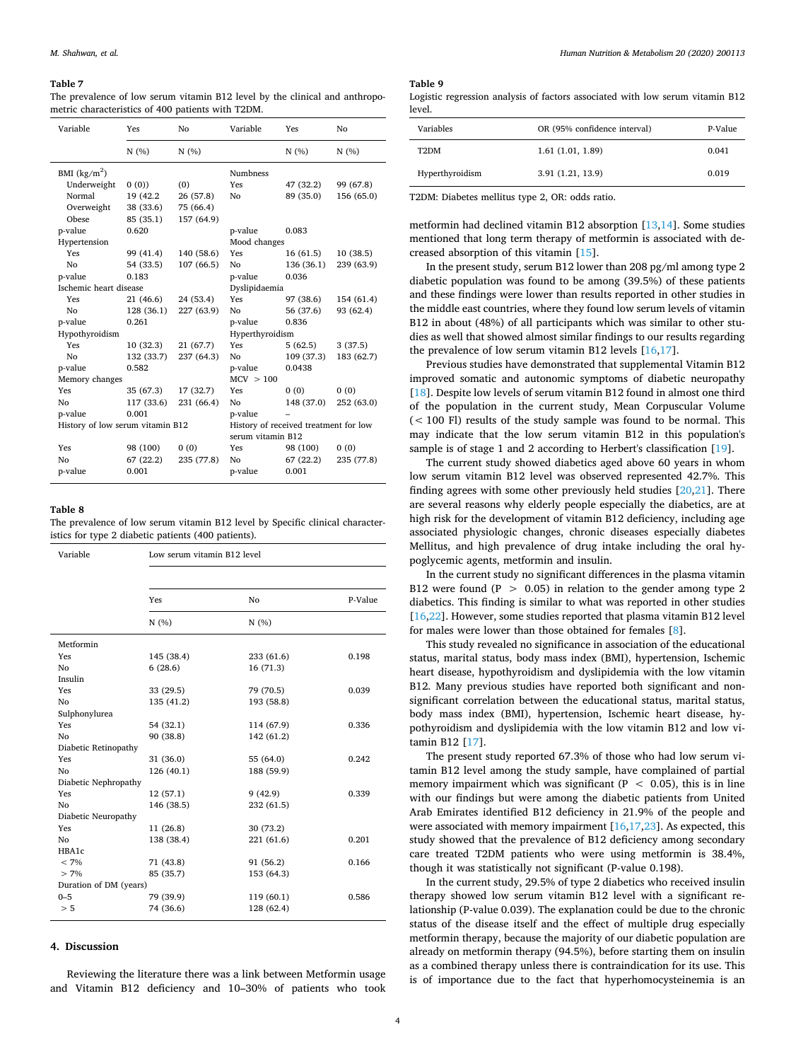#### <span id="page-3-0"></span>**Table 7**

The prevalence of low serum vitamin B12 level by the clinical and anthropometric characteristics of 400 patients with T2DM.

| Variable                         | Yes        | No         | Variable          | Yes                                   | No         |  |
|----------------------------------|------------|------------|-------------------|---------------------------------------|------------|--|
|                                  | N(%        | N(%)       |                   | N(%)                                  | N(%)       |  |
| BMI $(kg/m2)$                    |            |            | <b>Numbness</b>   |                                       |            |  |
| Underweight                      | 0(0)       | (0)        | Yes               | 47 (32.2)                             | 99 (67.8)  |  |
| Normal                           | 19 (42.2   | 26 (57.8)  | No                | 89 (35.0)                             | 156 (65.0) |  |
| Overweight                       | 38 (33.6)  | 75 (66.4)  |                   |                                       |            |  |
| Obese                            | 85 (35.1)  | 157 (64.9) |                   |                                       |            |  |
| p-value                          | 0.620      |            | p-value           | 0.083                                 |            |  |
| Hypertension                     |            |            | Mood changes      |                                       |            |  |
| Yes                              | 99 (41.4)  | 140 (58.6) | Yes               | 16(61.5)                              | 10 (38.5)  |  |
| No                               | 54 (33.5)  | 107(66.5)  | No                | 136 (36.1)                            | 239 (63.9) |  |
| p-value                          | 0.183      |            | p-value           | 0.036                                 |            |  |
| Ischemic heart disease           |            |            |                   | Dyslipidaemia                         |            |  |
| Yes                              | 21 (46.6)  | 24 (53.4)  | Yes               | 97 (38.6)                             | 154 (61.4) |  |
| No                               | 128 (36.1) | 227 (63.9) | No                | 56 (37.6)                             | 93 (62.4)  |  |
| p-value                          | 0.261      |            | p-value           | 0.836                                 |            |  |
| Hypothyroidism                   |            |            | Hyperthyroidism   |                                       |            |  |
| Yes                              | 10(32.3)   | 21(67.7)   | Yes               | 5(62.5)                               | 3(37.5)    |  |
| No                               | 132 (33.7) | 237 (64.3) | No                | 109 (37.3)                            | 183 (62.7) |  |
| p-value                          | 0.582      |            | p-value           | 0.0438                                |            |  |
| Memory changes                   |            |            | MCV > 100         |                                       |            |  |
| Yes                              | 35 (67.3)  | 17 (32.7)  | Yes               | 0(0)                                  | 0(0)       |  |
| No                               | 117 (33.6) | 231 (66.4) | No                | 148 (37.0)                            | 252 (63.0) |  |
| p-value                          | 0.001      |            | p-value           |                                       |            |  |
| History of low serum vitamin B12 |            |            | serum vitamin B12 | History of received treatment for low |            |  |
| Yes                              | 98 (100)   | 0(0)       | Yes               | 98 (100)                              | 0(0)       |  |
| No                               | 67(22.2)   | 235 (77.8) | No                | 67(22.2)                              | 235 (77.8) |  |
| p-value                          | 0.001      |            | p-value           | 0.001                                 |            |  |

#### <span id="page-3-1"></span>**Table 8**

The prevalence of low serum vitamin B12 level by Specific clinical characteristics for type 2 diabetic patients (400 patients).

| Variable               | Low serum vitamin B12 level |            |         |  |
|------------------------|-----------------------------|------------|---------|--|
|                        |                             |            |         |  |
|                        | Yes                         | No         | P-Value |  |
|                        | N(%)                        | N(%)       |         |  |
| Metformin              |                             |            |         |  |
| Yes                    | 145 (38.4)                  | 233 (61.6) | 0.198   |  |
| No                     | 6(28.6)                     | 16(71.3)   |         |  |
| Insulin                |                             |            |         |  |
| Yes                    | 33 (29.5)                   | 79 (70.5)  | 0.039   |  |
| No                     | 135 (41.2)                  | 193 (58.8) |         |  |
| Sulphonylurea          |                             |            |         |  |
| Yes                    | 54 (32.1)                   | 114 (67.9) | 0.336   |  |
| No                     | 90 (38.8)                   | 142 (61.2) |         |  |
| Diabetic Retinopathy   |                             |            |         |  |
| Yes                    | 31 (36.0)                   | 55 (64.0)  | 0.242   |  |
| No                     | 126 (40.1)                  | 188 (59.9) |         |  |
| Diabetic Nephropathy   |                             |            |         |  |
| Yes                    | 12 (57.1)                   | 9(42.9)    | 0.339   |  |
| No                     | 146 (38.5)                  | 232 (61.5) |         |  |
| Diabetic Neuropathy    |                             |            |         |  |
| Yes                    | 11(26.8)                    | 30 (73.2)  |         |  |
| No                     | 138 (38.4)                  | 221 (61.6) | 0.201   |  |
| HBA1c                  |                             |            |         |  |
| $< 7\%$                | 71 (43.8)                   | 91 (56.2)  | 0.166   |  |
| $> 7\%$                | 85 (35.7)                   | 153 (64.3) |         |  |
| Duration of DM (years) |                             |            |         |  |
| $0 - 5$                | 79 (39.9)                   | 119 (60.1) | 0.586   |  |
| > 5                    | 74 (36.6)                   | 128 (62.4) |         |  |

# **4. Discussion**

Reviewing the literature there was a link between Metformin usage and Vitamin B12 deficiency and 10–30% of patients who took

# <span id="page-3-2"></span>**Table 9**

Logistic regression analysis of factors associated with low serum vitamin B12 level.

| Variables       | OR (95% confidence interval) | P-Value |
|-----------------|------------------------------|---------|
| T2DM            | 1.61(1.01, 1.89)             | 0.041   |
| Hyperthyroidism | 3.91(1.21, 13.9)             | 0.019   |

T2DM: Diabetes mellitus type 2, OR: odds ratio.

metformin had declined vitamin B12 absorption [\[13](#page-4-12),[14\]](#page-4-13). Some studies mentioned that long term therapy of metformin is associated with decreased absorption of this vitamin [\[15](#page-4-14)].

In the present study, serum B12 lower than 208 pg/ml among type 2 diabetic population was found to be among (39.5%) of these patients and these findings were lower than results reported in other studies in the middle east countries, where they found low serum levels of vitamin B12 in about (48%) of all participants which was similar to other studies as well that showed almost similar findings to our results regarding the prevalence of low serum vitamin B12 levels[[16,](#page-4-15)[17\]](#page-4-16).

Previous studies have demonstrated that supplemental Vitamin B12 improved somatic and autonomic symptoms of diabetic neuropathy [[18\]](#page-4-17). Despite low levels of serum vitamin B12 found in almost one third of the population in the current study, Mean Corpuscular Volume  $(< 100$  Fl) results of the study sample was found to be normal. This may indicate that the low serum vitamin B12 in this population's sample is of stage 1 and 2 according to Herbert's classification [\[19](#page-4-18)].

The current study showed diabetics aged above 60 years in whom low serum vitamin B12 level was observed represented 42.7%. This findingagrees with some other previously held studies  $[20,21]$  $[20,21]$  $[20,21]$  $[20,21]$ . There are several reasons why elderly people especially the diabetics, are at high risk for the development of vitamin B12 deficiency, including age associated physiologic changes, chronic diseases especially diabetes Mellitus, and high prevalence of drug intake including the oral hypoglycemic agents, metformin and insulin.

In the current study no significant differences in the plasma vitamin B12 were found (P > 0.05) in relation to the gender among type 2 diabetics. This finding is similar to what was reported in other studies [[16](#page-4-15)[,22](#page-4-21)]. However, some studies reported that plasma vitamin B12 level for males were lower than those obtained for females[[8](#page-4-7)].

This study revealed no significance in association of the educational status, marital status, body mass index (BMI), hypertension, Ischemic heart disease, hypothyroidism and dyslipidemia with the low vitamin B12. Many previous studies have reported both significant and nonsignificant correlation between the educational status, marital status, body mass index (BMI), hypertension, Ischemic heart disease, hypothyroidism and dyslipidemia with the low vitamin B12 and low vitamin B12[[17\]](#page-4-16).

The present study reported 67.3% of those who had low serum vitamin B12 level among the study sample, have complained of partial memory impairment which was significant ( $P < 0.05$ ), this is in line with our findings but were among the diabetic patients from United Arab Emirates identified B12 deficiency in 21.9% of the people and were associated with memory impairment[[16,](#page-4-15)[17,](#page-4-16)[23](#page-4-22)]. As expected, this study showed that the prevalence of B12 deficiency among secondary care treated T2DM patients who were using metformin is 38.4%, though it was statistically not significant (P-value 0.198).

In the current study, 29.5% of type 2 diabetics who received insulin therapy showed low serum vitamin B12 level with a significant relationship (P-value 0.039). The explanation could be due to the chronic status of the disease itself and the effect of multiple drug especially metformin therapy, because the majority of our diabetic population are already on metformin therapy (94.5%), before starting them on insulin as a combined therapy unless there is contraindication for its use. This is of importance due to the fact that hyperhomocysteinemia is an